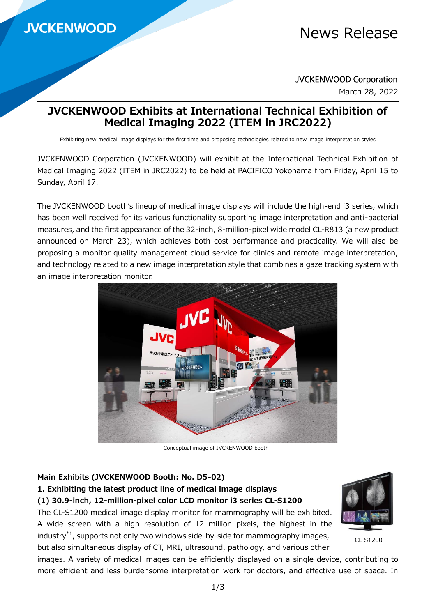# News Release

**JVCKENWOOD Corporation** March 28, 2022

# **JVCKENWOOD Exhibits at International Technical Exhibition of Medical Imaging 2022 (ITEM in JRC2022)**

Exhibiting new medical image displays for the first time and proposing technologies related to new image interpretation styles

JVCKENWOOD Corporation (JVCKENWOOD) will exhibit at the International Technical Exhibition of Medical Imaging 2022 (ITEM in JRC2022) to be held at PACIFICO Yokohama from Friday, April 15 to Sunday, April 17.

The JVCKENWOOD booth's lineup of medical image displays will include the high-end i3 series, which has been well received for its various functionality supporting image interpretation and anti-bacterial measures, and the first appearance of the 32-inch, 8-million-pixel wide model CL-R813 (a new product announced on March 23), which achieves both cost performance and practicality. We will also be proposing a monitor quality management cloud service for clinics and remote image interpretation, and technology related to a new image interpretation style that combines a gaze tracking system with an image interpretation monitor.



Conceptual image of JVCKENWOOD booth

#### **Main Exhibits (JVCKENWOOD Booth: No. D5-02)**

**1. Exhibiting the latest product line of medical image displays**

**(1) 30.9-inch, 12-million-pixel color LCD monitor i3 series CL-S1200**

The CL-S1200 medical image display monitor for mammography will be exhibited. A wide screen with a high resolution of 12 million pixels, the highest in the industry $^{*1}$ , supports not only two windows side-by-side for mammography images, but also simultaneous display of CT, MRI, ultrasound, pathology, and various other



CL-S1200

images. A variety of medical images can be efficiently displayed on a single device, contributing to more efficient and less burdensome interpretation work for doctors, and effective use of space. In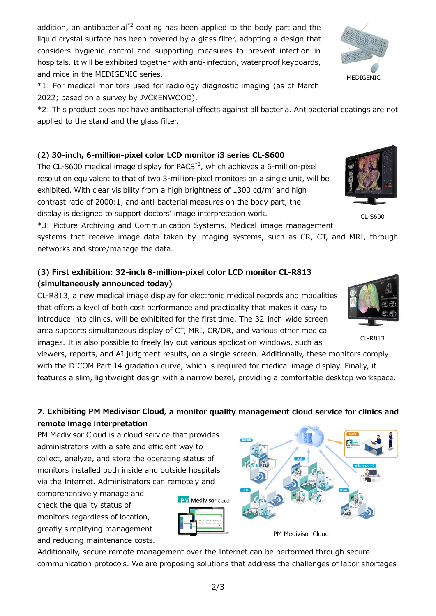addition, an antibacterial<sup>\*2</sup> coating has been applied to the body part and the liquid crystal surface has been covered by a glass filter, adopting a design that considers hygienic control and supporting measures to prevent infection in hospitals. It will be exhibited together with anti-infection, waterproof keyboards, and mice in the MEDIGENIC series.

\*1: For medical monitors used for radiology diagnostic imaging (as of March 2022; based on a survey by JVCKENWOOD).

\*2: This product does not have antibacterial effects against all bacteria. Antibacterial coatings are not applied to the stand and the glass filter.

### **(2) 30-inch, 6-million-pixel color LCD monitor i3 series CL-S600**

The CL-S600 medical image display for PACS\*3, which achieves a 6-million-pixel resolution equivalent to that of two 3-million-pixel monitors on a single unit, will be exhibited. With clear visibility from a high brightness of 1300 cd/ $m^2$  and high contrast ratio of 2000:1, and anti-bacterial measures on the body part, the display is designed to support doctors' image interpretation work.

\*3: Picture Archiving and Communication Systems. Medical image management

systems that receive image data taken by imaging systems, such as CR, CT, and MRI, through networks and store/manage the data.

# **(3) First exhibition: 32-inch 8-million-pixel color LCD monitor CL-R813 (simultaneously announced today)**

CL-R813, a new medical image display for electronic medical records and modalities that offers a level of both cost performance and practicality that makes it easy to introduce into clinics, will be exhibited for the first time. The 32-inch-wide screen area supports simultaneous display of CT, MRI, CR/DR, and various other medical images. It is also possible to freely lay out various application windows, such as

viewers, reports, and AI judgment results, on a single screen. Additionally, these monitors comply with the DICOM Part 14 gradation curve, which is required for medical image display. Finally, it features a slim, lightweight design with a narrow bezel, providing a comfortable desktop workspace.

## **2. Exhibiting PM Medivisor Cloud, a monitor quality management cloud service for clinics and remote image interpretation**

PM Medivisor Cloud is a cloud service that provides administrators with a safe and efficient way to collect, analyze, and store the operating status of monitors installed both inside and outside hospitals via the Internet. Administrators can remotely and

comprehensively manage and check the quality status of monitors regardless of location, greatly simplifying management and reducing maintenance costs.

Additionally, secure remote management over the Internet can be performed through secure communication protocols. We are proposing solutions that address the challenges of labor shortages







CL-R813



CL-S600